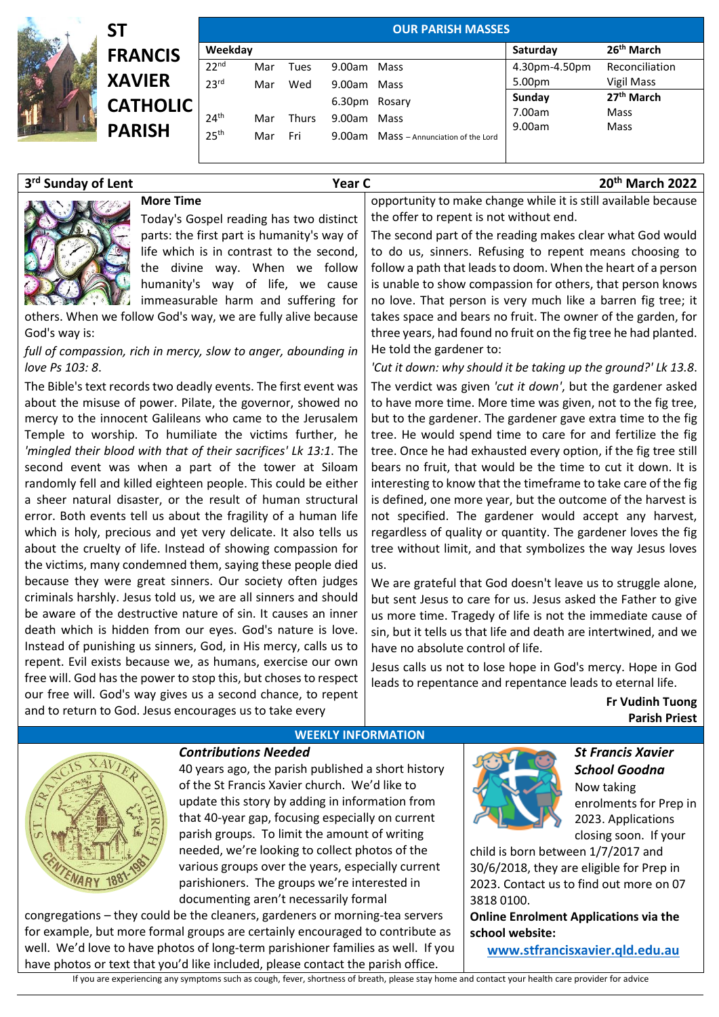| SΤ              | <b>OUR PARISH MASSES</b> |     |              |                    |                                 |               |                        |  |
|-----------------|--------------------------|-----|--------------|--------------------|---------------------------------|---------------|------------------------|--|
| <b>FRANCIS</b>  | Weekday                  |     |              |                    |                                 | Saturday      | 26 <sup>th</sup> March |  |
|                 | 22 <sup>nd</sup>         | Mar | Tues         | 9.00am             | Mass                            | 4.30pm-4.50pm | Reconciliation         |  |
| <b>XAVIER</b>   | 23 <sup>rd</sup>         | Mar | Wed          | 9.00am Mass        |                                 | 5.00pm        | Vigil Mass             |  |
| <b>CATHOLIC</b> |                          |     |              | 6.30 <sub>pm</sub> | Rosary                          | Sunday        | 27 <sup>th</sup> March |  |
|                 | 24 <sup>th</sup>         | Mar | <b>Thurs</b> |                    | 9.00am Mass                     | 7.00am        | Mass                   |  |
| <b>PARISH</b>   | 25 <sup>th</sup>         | Mar | Fri          | 9.00am             | Mass - Annunciation of the Lord | 9.00am        | Mass                   |  |
|                 |                          |     |              |                    |                                 |               |                        |  |

| 3rd Sunday of Lent | Year C                                                          | 20 <sup>th</sup> March 2022                                     |  |
|--------------------|-----------------------------------------------------------------|-----------------------------------------------------------------|--|
|                    | <b>More Time</b>                                                | opportunity to make change while it is still available because  |  |
|                    | Today's Gospel reading has two distinct                         | the offer to repent is not without end.                         |  |
|                    | parts: the first part is humanity's way of                      | The second part of the reading makes clear what God would       |  |
|                    | life which is in contrast to the second,                        | to do us, sinners. Refusing to repent means choosing to         |  |
|                    | the divine way. When we follow                                  | follow a path that leads to doom. When the heart of a person    |  |
|                    | humanity's way of life, we cause                                | is unable to show compassion for others, that person knows      |  |
|                    | immeasurable harm and suffering for                             | no love. That person is very much like a barren fig tree; it    |  |
|                    | others. When we follow God's way, we are fully alive because    | takes space and bears no fruit. The owner of the garden, for    |  |
| God's way is:      |                                                                 | three years, had found no fruit on the fig tree he had planted. |  |
|                    | full of compassion, rich in mercy, slow to anger, abounding in  | He told the gardener to:                                        |  |
| love Ps 103: 8.    |                                                                 | 'Cut it down: why should it be taking up the ground?' Lk 13.8.  |  |
|                    | The Bible's text records two deadly events. The first event was | The verdict was given 'cut it down', but the gardener asked     |  |
|                    |                                                                 |                                                                 |  |

about the misuse of power. Pilate, the governor, showed no mercy to the innocent Galileans who came to the Jerusalem Temple to worship. To humiliate the victims further, he *'mingled their blood with that of their sacrifices' Lk 13:1*. The second event was when a part of the tower at Siloam randomly fell and killed eighteen people. This could be either a sheer natural disaster, or the result of human structural error. Both events tell us about the fragility of a human life which is holy, precious and yet very delicate. It also tells us about the cruelty of life. Instead of showing compassion for the victims, many condemned them, saying these people died because they were great sinners. Our society often judges criminals harshly. Jesus told us, we are all sinners and should be aware of the destructive nature of sin. It causes an inner death which is hidden from our eyes. God's nature is love. Instead of punishing us sinners, God, in His mercy, calls us to repent. Evil exists because we, as humans, exercise our own free will. God has the power to stop this, but choses to respect our free will. God's way gives us a second chance, to repent and to return to God. Jesus encourages us to take every

to have more time. More time was given, not to the fig tree, but to the gardener. The gardener gave extra time to the fig tree. He would spend time to care for and fertilize the fig tree. Once he had exhausted every option, if the fig tree still bears no fruit, that would be the time to cut it down. It is interesting to know that the timeframe to take care of the fig is defined, one more year, but the outcome of the harvest is not specified. The gardener would accept any harvest, regardless of quality or quantity. The gardener loves the fig tree without limit, and that symbolizes the way Jesus loves us.

We are grateful that God doesn't leave us to struggle alone, but sent Jesus to care for us. Jesus asked the Father to give us more time. Tragedy of life is not the immediate cause of sin, but it tells us that life and death are intertwined, and we have no absolute control of life.

Jesus calls us not to lose hope in God's mercy. Hope in God leads to repentance and repentance leads to eternal life.

> **Fr Vudinh Tuong Parish Priest**



## **WEEKLY INFORMATION**

*Contributions Needed*  40 years ago, the parish published a short history of the St Francis Xavier church. We'd like to update this story by adding in information from that 40-year gap, focusing especially on current parish groups. To limit the amount of writing needed, we're looking to collect photos of the various groups over the years, especially current parishioners. The groups we're interested in documenting aren't necessarily formal

congregations – they could be the cleaners, gardeners or morning-tea servers for example, but more formal groups are certainly encouraged to contribute as well. We'd love to have photos of long-term parishioner families as well. If you have photos or text that you'd like included, please contact the parish office.

If you are experiencing any symptoms such as cough, fever, shortness of breath, please stay home and contact your health care provider for advice

*St Francis Xavier School Goodna*  Now taking enrolments for Prep in 2023. Applications closing soon. If your

child is born between 1/7/2017 and 30/6/2018, they are eligible for Prep in 2023. Contact us to find out more on 07 3818 0100.

**Online Enrolment Applications via the school website:** 

**[www.stfrancisxavier.qld.edu.au](https://protect-au.mimecast.com/s/3C4xCzvkN9sRgGk6IX5fwD?domain=stfrancisxavier.qld.edu.au)**